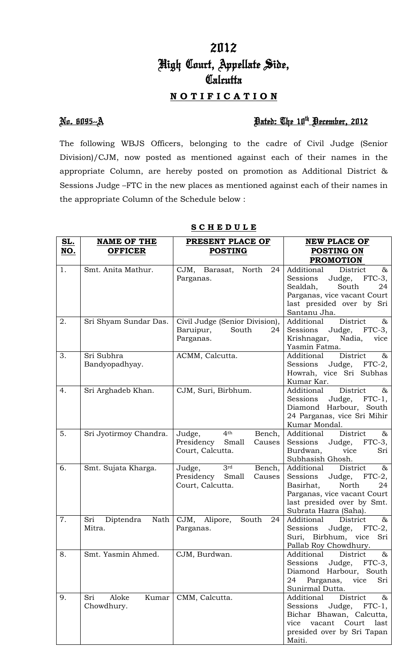# 2012 High Court, Appellate Side, **Calcutta**

## **N O T I F I C A T I O N**

### No. 6095--A Dated: The 10th December, 2012

The following WBJS Officers, belonging to the cadre of Civil Judge (Senior Division)/CJM, now posted as mentioned against each of their names in the appropriate Column, are hereby posted on promotion as Additional District & Sessions Judge –FTC in the new places as mentioned against each of their names in the appropriate Column of the Schedule below :

| <u>SL.</u> | <b>NAME OF THE</b>                  | PRESENT PLACE OF                                                                         | <b>NEW PLACE OF</b>                                                                                                                                                                 |  |  |
|------------|-------------------------------------|------------------------------------------------------------------------------------------|-------------------------------------------------------------------------------------------------------------------------------------------------------------------------------------|--|--|
| NO.        | <b>OFFICER</b>                      | <b>POSTING</b>                                                                           | POSTING ON                                                                                                                                                                          |  |  |
|            |                                     |                                                                                          | <b>PROMOTION</b>                                                                                                                                                                    |  |  |
| 1.         | Smt. Anita Mathur.                  | CJM, Barasat,<br>North<br>24<br>Parganas.                                                | Additional<br>District<br>$\&$<br>$FTC-3$ ,<br>Sessions<br>Judge,<br>Sealdah,<br>South<br>24<br>Parganas, vice vacant Court<br>last presided over by Sri<br>Santanu Jha.            |  |  |
| 2.         | Sri Shyam Sundar Das.               | Civil Judge (Senior Division),<br>Baruipur,<br>South<br>24<br>Parganas.                  | District<br>&<br>Additional<br>Judge, FTC-3,<br>Sessions<br>Krishnagar,<br>Nadia,<br>vice<br>Yasmin Fatma.                                                                          |  |  |
| 3.         | Sri Subhra<br>Bandyopadhyay.        | ACMM, Calcutta.                                                                          | Additional<br>District<br>&<br>Sessions<br>Judge, FTC-2,<br>Howrah, vice Sri Subhas<br>Kumar Kar.                                                                                   |  |  |
| 4.         | Sri Arghadeb Khan.                  | CJM, Suri, Birbhum.                                                                      | District<br>Additional<br>$\&$<br>$FTC-1$ ,<br>Sessions<br>Judge,<br>Diamond Harbour, South<br>24 Parganas, vice Sri Mihir<br>Kumar Mondal.                                         |  |  |
| 5.         | Sri Jyotirmoy Chandra.              | 4 <sup>th</sup><br>Judge,<br>Bench,<br>Presidency<br>Small<br>Causes<br>Court, Calcutta. | District<br>Additional<br>$\&$<br>Judge, FTC-3,<br>Sessions<br>Burdwan,<br>vice<br>Sri<br>Subhasish Ghosh.                                                                          |  |  |
| 6.         | Smt. Sujata Kharga.                 | 3 <sup>rd</sup><br>Bench,<br>Judge,<br>Presidency Small<br>Causes<br>Court, Calcutta.    | Additional<br>District<br>$\&$<br>Sessions<br>Judge,<br>$FTC-2$ ,<br>Basirhat,<br>North<br>24<br>Parganas, vice vacant Court<br>last presided over by Smt.<br>Subrata Hazra (Saha). |  |  |
| 7.         | Sri<br>Nath<br>Diptendra<br>Mitra.  | CJM,<br>South<br>Alipore,<br>24<br>Parganas.                                             | District<br>Additional<br>$\&$<br>Sessions<br>Judge,<br>$FTC-2,$<br>Suri, Birbhum, vice Sri<br>Pallab Roy Chowdhury.                                                                |  |  |
| 8.         | Smt. Yasmin Ahmed.                  | CJM, Burdwan.                                                                            | District<br>&<br>Additional<br>Sessions<br>Judge, FTC-3,<br>Diamond Harbour, South<br>Parganas, vice<br>24<br>Sri<br>Sunirmal Dutta.                                                |  |  |
| 9.         | Aloke<br>Sri<br>Kumar<br>Chowdhury. | CMM, Calcutta.                                                                           | District<br>Additional<br>$\infty$<br>Sessions<br>Judge, FTC-1,<br>Bichar Bhawan, Calcutta,<br>vice vacant Court last<br>presided over by Sri Tapan<br>Maiti.                       |  |  |

### **S C H E D U L E**